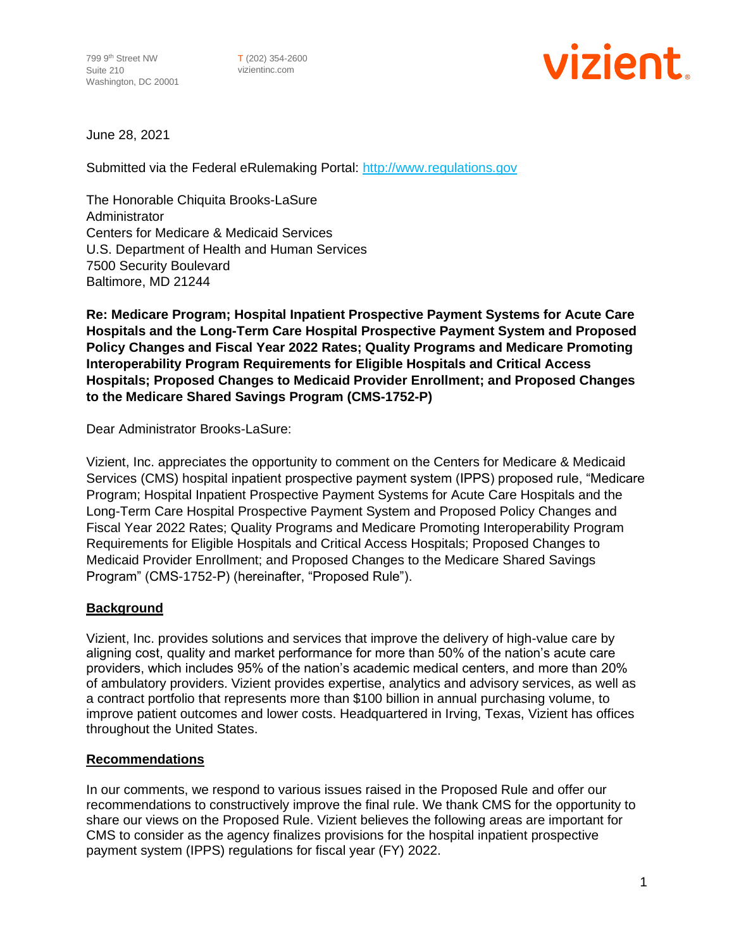T (202) 354-2600 vizientinc.com



June 28, 2021

Submitted via the Federal eRulemaking Portal: [http://www.regulations.gov](http://www.regulations.gov/)

The Honorable Chiquita Brooks-LaSure Administrator Centers for Medicare & Medicaid Services U.S. Department of Health and Human Services 7500 Security Boulevard Baltimore, MD 21244

**Re: Medicare Program; Hospital Inpatient Prospective Payment Systems for Acute Care Hospitals and the Long-Term Care Hospital Prospective Payment System and Proposed Policy Changes and Fiscal Year 2022 Rates; Quality Programs and Medicare Promoting Interoperability Program Requirements for Eligible Hospitals and Critical Access Hospitals; Proposed Changes to Medicaid Provider Enrollment; and Proposed Changes to the Medicare Shared Savings Program (CMS-1752-P)**

Dear Administrator Brooks-LaSure:

Vizient, Inc. appreciates the opportunity to comment on the Centers for Medicare & Medicaid Services (CMS) hospital inpatient prospective payment system (IPPS) proposed rule, "Medicare Program; Hospital Inpatient Prospective Payment Systems for Acute Care Hospitals and the Long-Term Care Hospital Prospective Payment System and Proposed Policy Changes and Fiscal Year 2022 Rates; Quality Programs and Medicare Promoting Interoperability Program Requirements for Eligible Hospitals and Critical Access Hospitals; Proposed Changes to Medicaid Provider Enrollment; and Proposed Changes to the Medicare Shared Savings Program" (CMS-1752-P) (hereinafter, "Proposed Rule").

# **Background**

Vizient, Inc. provides solutions and services that improve the delivery of high-value care by aligning cost, quality and market performance for more than 50% of the nation's acute care providers, which includes 95% of the nation's academic medical centers, and more than 20% of ambulatory providers. Vizient provides expertise, analytics and advisory services, as well as a contract portfolio that represents more than \$100 billion in annual purchasing volume, to improve patient outcomes and lower costs. Headquartered in Irving, Texas, Vizient has offices throughout the United States.

#### **Recommendations**

In our comments, we respond to various issues raised in the Proposed Rule and offer our recommendations to constructively improve the final rule. We thank CMS for the opportunity to share our views on the Proposed Rule. Vizient believes the following areas are important for CMS to consider as the agency finalizes provisions for the hospital inpatient prospective payment system (IPPS) regulations for fiscal year (FY) 2022.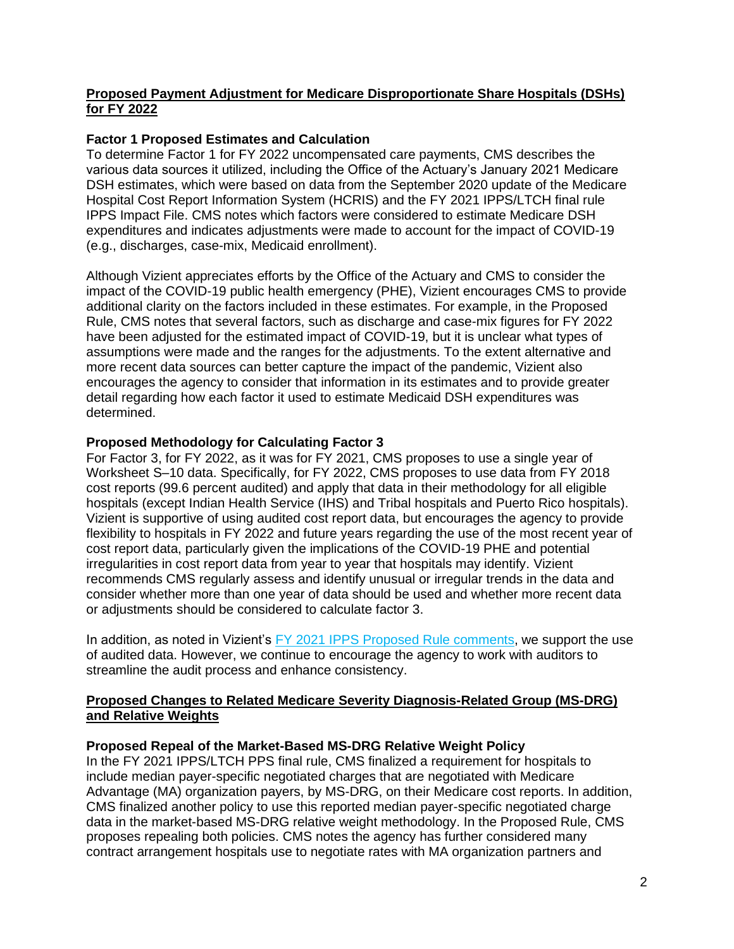# **Proposed Payment Adjustment for Medicare Disproportionate Share Hospitals (DSHs) for FY 2022**

# **Factor 1 Proposed Estimates and Calculation**

To determine Factor 1 for FY 2022 uncompensated care payments, CMS describes the various data sources it utilized, including the Office of the Actuary's January 2021 Medicare DSH estimates, which were based on data from the September 2020 update of the Medicare Hospital Cost Report Information System (HCRIS) and the FY 2021 IPPS/LTCH final rule IPPS Impact File. CMS notes which factors were considered to estimate Medicare DSH expenditures and indicates adjustments were made to account for the impact of COVID-19 (e.g., discharges, case-mix, Medicaid enrollment).

Although Vizient appreciates efforts by the Office of the Actuary and CMS to consider the impact of the COVID-19 public health emergency (PHE), Vizient encourages CMS to provide additional clarity on the factors included in these estimates. For example, in the Proposed Rule, CMS notes that several factors, such as discharge and case-mix figures for FY 2022 have been adjusted for the estimated impact of COVID-19, but it is unclear what types of assumptions were made and the ranges for the adjustments. To the extent alternative and more recent data sources can better capture the impact of the pandemic, Vizient also encourages the agency to consider that information in its estimates and to provide greater detail regarding how each factor it used to estimate Medicaid DSH expenditures was determined.

# **Proposed Methodology for Calculating Factor 3**

For Factor 3, for FY 2022, as it was for FY 2021, CMS proposes to use a single year of Worksheet S–10 data. Specifically, for FY 2022, CMS proposes to use data from FY 2018 cost reports (99.6 percent audited) and apply that data in their methodology for all eligible hospitals (except Indian Health Service (IHS) and Tribal hospitals and Puerto Rico hospitals). Vizient is supportive of using audited cost report data, but encourages the agency to provide flexibility to hospitals in FY 2022 and future years regarding the use of the most recent year of cost report data, particularly given the implications of the COVID-19 PHE and potential irregularities in cost report data from year to year that hospitals may identify. Vizient recommends CMS regularly assess and identify unusual or irregular trends in the data and consider whether more than one year of data should be used and whether more recent data or adjustments should be considered to calculate factor 3.

In addition, as noted in Vizient's [FY 2021 IPPS Proposed Rule comments,](https://www.vizientinc.com/-/media/documents/sitecorepublishingdocuments/public/aboutus/20200709_vizient_cms_fy2021_ipps_comments.pdf) we support the use of audited data. However, we continue to encourage the agency to work with auditors to streamline the audit process and enhance consistency.

# **Proposed Changes to Related Medicare Severity Diagnosis-Related Group (MS-DRG) and Relative Weights**

# **Proposed Repeal of the Market-Based MS-DRG Relative Weight Policy**

In the FY 2021 IPPS/LTCH PPS final rule, CMS finalized a requirement for hospitals to include median payer-specific negotiated charges that are negotiated with Medicare Advantage (MA) organization payers, by MS-DRG, on their Medicare cost reports. In addition, CMS finalized another policy to use this reported median payer-specific negotiated charge data in the market-based MS-DRG relative weight methodology. In the Proposed Rule, CMS proposes repealing both policies. CMS notes the agency has further considered many contract arrangement hospitals use to negotiate rates with MA organization partners and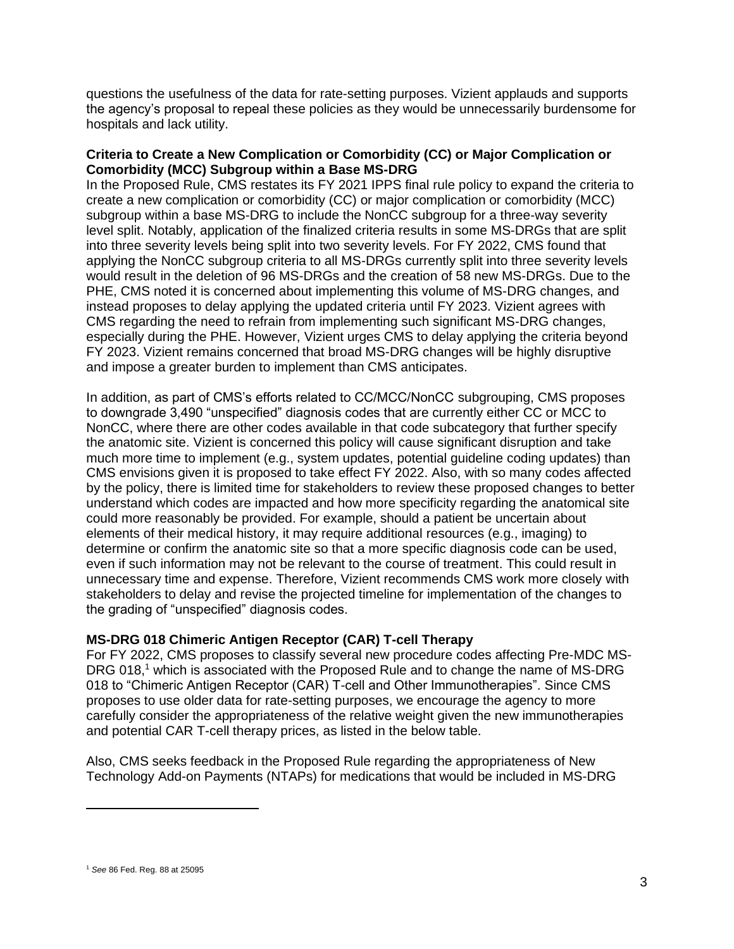questions the usefulness of the data for rate-setting purposes. Vizient applauds and supports the agency's proposal to repeal these policies as they would be unnecessarily burdensome for hospitals and lack utility.

#### **Criteria to Create a New Complication or Comorbidity (CC) or Major Complication or Comorbidity (MCC) Subgroup within a Base MS-DRG**

In the Proposed Rule, CMS restates its FY 2021 IPPS final rule policy to expand the criteria to create a new complication or comorbidity (CC) or major complication or comorbidity (MCC) subgroup within a base MS-DRG to include the NonCC subgroup for a three-way severity level split. Notably, application of the finalized criteria results in some MS-DRGs that are split into three severity levels being split into two severity levels. For FY 2022, CMS found that applying the NonCC subgroup criteria to all MS-DRGs currently split into three severity levels would result in the deletion of 96 MS-DRGs and the creation of 58 new MS-DRGs. Due to the PHE, CMS noted it is concerned about implementing this volume of MS-DRG changes, and instead proposes to delay applying the updated criteria until FY 2023. Vizient agrees with CMS regarding the need to refrain from implementing such significant MS-DRG changes, especially during the PHE. However, Vizient urges CMS to delay applying the criteria beyond FY 2023. Vizient remains concerned that broad MS-DRG changes will be highly disruptive and impose a greater burden to implement than CMS anticipates.

In addition, as part of CMS's efforts related to CC/MCC/NonCC subgrouping, CMS proposes to downgrade 3,490 "unspecified" diagnosis codes that are currently either CC or MCC to NonCC, where there are other codes available in that code subcategory that further specify the anatomic site. Vizient is concerned this policy will cause significant disruption and take much more time to implement (e.g., system updates, potential guideline coding updates) than CMS envisions given it is proposed to take effect FY 2022. Also, with so many codes affected by the policy, there is limited time for stakeholders to review these proposed changes to better understand which codes are impacted and how more specificity regarding the anatomical site could more reasonably be provided. For example, should a patient be uncertain about elements of their medical history, it may require additional resources (e.g., imaging) to determine or confirm the anatomic site so that a more specific diagnosis code can be used, even if such information may not be relevant to the course of treatment. This could result in unnecessary time and expense. Therefore, Vizient recommends CMS work more closely with stakeholders to delay and revise the projected timeline for implementation of the changes to the grading of "unspecified" diagnosis codes.

# **MS-DRG 018 Chimeric Antigen Receptor (CAR) T-cell Therapy**

For FY 2022, CMS proposes to classify several new procedure codes affecting Pre-MDC MS-DRG 018,<sup>1</sup> which is associated with the Proposed Rule and to change the name of MS-DRG 018 to "Chimeric Antigen Receptor (CAR) T-cell and Other Immunotherapies". Since CMS proposes to use older data for rate-setting purposes, we encourage the agency to more carefully consider the appropriateness of the relative weight given the new immunotherapies and potential CAR T-cell therapy prices, as listed in the below table.

Also, CMS seeks feedback in the Proposed Rule regarding the appropriateness of New Technology Add-on Payments (NTAPs) for medications that would be included in MS-DRG

<sup>1</sup> *See* 86 Fed. Reg. 88 at 25095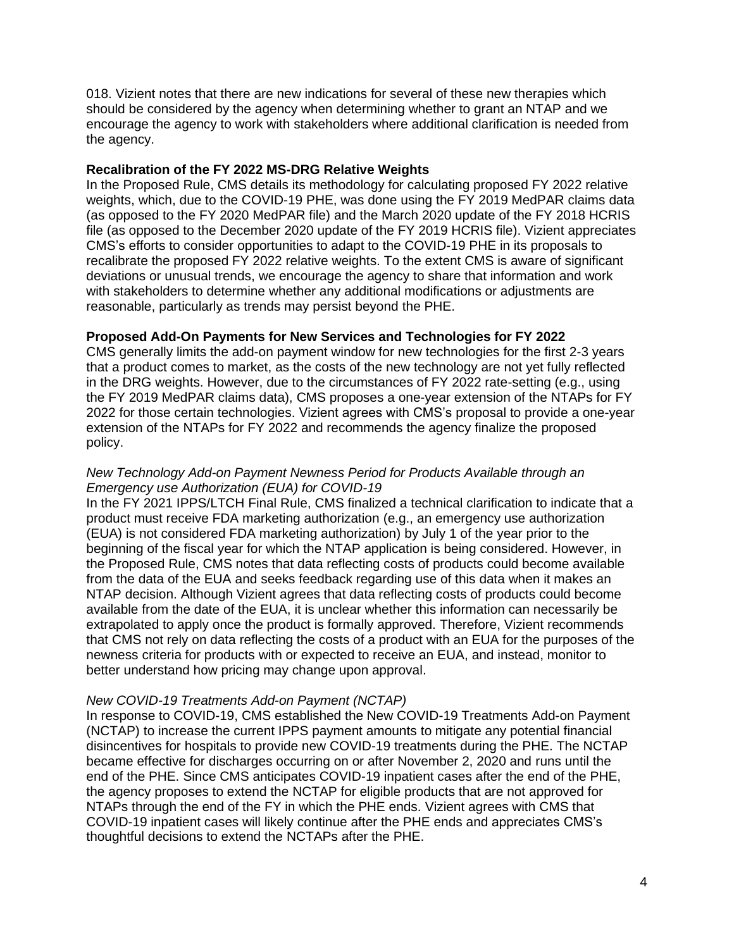018. Vizient notes that there are new indications for several of these new therapies which should be considered by the agency when determining whether to grant an NTAP and we encourage the agency to work with stakeholders where additional clarification is needed from the agency.

#### **Recalibration of the FY 2022 MS-DRG Relative Weights**

In the Proposed Rule, CMS details its methodology for calculating proposed FY 2022 relative weights, which, due to the COVID-19 PHE, was done using the FY 2019 MedPAR claims data (as opposed to the FY 2020 MedPAR file) and the March 2020 update of the FY 2018 HCRIS file (as opposed to the December 2020 update of the FY 2019 HCRIS file). Vizient appreciates CMS's efforts to consider opportunities to adapt to the COVID-19 PHE in its proposals to recalibrate the proposed FY 2022 relative weights. To the extent CMS is aware of significant deviations or unusual trends, we encourage the agency to share that information and work with stakeholders to determine whether any additional modifications or adjustments are reasonable, particularly as trends may persist beyond the PHE.

# **Proposed Add-On Payments for New Services and Technologies for FY 2022**

CMS generally limits the add-on payment window for new technologies for the first 2-3 years that a product comes to market, as the costs of the new technology are not yet fully reflected in the DRG weights. However, due to the circumstances of FY 2022 rate-setting (e.g., using the FY 2019 MedPAR claims data), CMS proposes a one-year extension of the NTAPs for FY 2022 for those certain technologies. Vizient agrees with CMS's proposal to provide a one-year extension of the NTAPs for FY 2022 and recommends the agency finalize the proposed policy.

### *New Technology Add-on Payment Newness Period for Products Available through an Emergency use Authorization (EUA) for COVID-19*

In the FY 2021 IPPS/LTCH Final Rule, CMS finalized a technical clarification to indicate that a product must receive FDA marketing authorization (e.g., an emergency use authorization (EUA) is not considered FDA marketing authorization) by July 1 of the year prior to the beginning of the fiscal year for which the NTAP application is being considered. However, in the Proposed Rule, CMS notes that data reflecting costs of products could become available from the data of the EUA and seeks feedback regarding use of this data when it makes an NTAP decision. Although Vizient agrees that data reflecting costs of products could become available from the date of the EUA, it is unclear whether this information can necessarily be extrapolated to apply once the product is formally approved. Therefore, Vizient recommends that CMS not rely on data reflecting the costs of a product with an EUA for the purposes of the newness criteria for products with or expected to receive an EUA, and instead, monitor to better understand how pricing may change upon approval.

#### *New COVID-19 Treatments Add-on Payment (NCTAP)*

In response to COVID-19, CMS established the New COVID-19 Treatments Add-on Payment (NCTAP) to increase the current IPPS payment amounts to mitigate any potential financial disincentives for hospitals to provide new COVID-19 treatments during the PHE. The NCTAP became effective for discharges occurring on or after November 2, 2020 and runs until the end of the PHE. Since CMS anticipates COVID-19 inpatient cases after the end of the PHE, the agency proposes to extend the NCTAP for eligible products that are not approved for NTAPs through the end of the FY in which the PHE ends. Vizient agrees with CMS that COVID-19 inpatient cases will likely continue after the PHE ends and appreciates CMS's thoughtful decisions to extend the NCTAPs after the PHE.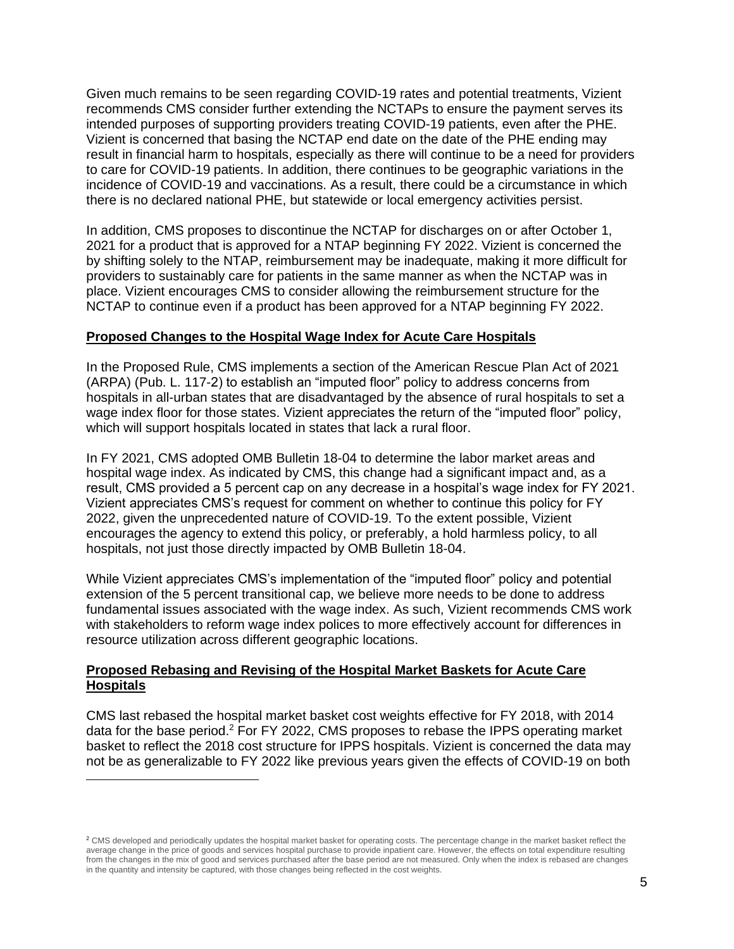Given much remains to be seen regarding COVID-19 rates and potential treatments, Vizient recommends CMS consider further extending the NCTAPs to ensure the payment serves its intended purposes of supporting providers treating COVID-19 patients, even after the PHE. Vizient is concerned that basing the NCTAP end date on the date of the PHE ending may result in financial harm to hospitals, especially as there will continue to be a need for providers to care for COVID-19 patients. In addition, there continues to be geographic variations in the incidence of COVID-19 and vaccinations. As a result, there could be a circumstance in which there is no declared national PHE, but statewide or local emergency activities persist.

In addition, CMS proposes to discontinue the NCTAP for discharges on or after October 1, 2021 for a product that is approved for a NTAP beginning FY 2022. Vizient is concerned the by shifting solely to the NTAP, reimbursement may be inadequate, making it more difficult for providers to sustainably care for patients in the same manner as when the NCTAP was in place. Vizient encourages CMS to consider allowing the reimbursement structure for the NCTAP to continue even if a product has been approved for a NTAP beginning FY 2022.

### **Proposed Changes to the Hospital Wage Index for Acute Care Hospitals**

In the Proposed Rule, CMS implements a section of the American Rescue Plan Act of 2021 (ARPA) (Pub. L. 117-2) to establish an "imputed floor" policy to address concerns from hospitals in all-urban states that are disadvantaged by the absence of rural hospitals to set a wage index floor for those states. Vizient appreciates the return of the "imputed floor" policy, which will support hospitals located in states that lack a rural floor.

In FY 2021, CMS adopted OMB Bulletin 18-04 to determine the labor market areas and hospital wage index. As indicated by CMS, this change had a significant impact and, as a result, CMS provided a 5 percent cap on any decrease in a hospital's wage index for FY 2021. Vizient appreciates CMS's request for comment on whether to continue this policy for FY 2022, given the unprecedented nature of COVID-19. To the extent possible, Vizient encourages the agency to extend this policy, or preferably, a hold harmless policy, to all hospitals, not just those directly impacted by OMB Bulletin 18-04.

While Vizient appreciates CMS's implementation of the "imputed floor" policy and potential extension of the 5 percent transitional cap, we believe more needs to be done to address fundamental issues associated with the wage index. As such, Vizient recommends CMS work with stakeholders to reform wage index polices to more effectively account for differences in resource utilization across different geographic locations.

### **Proposed Rebasing and Revising of the Hospital Market Baskets for Acute Care Hospitals**

CMS last rebased the hospital market basket cost weights effective for FY 2018, with 2014 data for the base period.<sup>2</sup> For FY 2022, CMS proposes to rebase the IPPS operating market basket to reflect the 2018 cost structure for IPPS hospitals. Vizient is concerned the data may not be as generalizable to FY 2022 like previous years given the effects of COVID-19 on both

<sup>&</sup>lt;sup>2</sup> CMS developed and periodically updates the hospital market basket for operating costs. The percentage change in the market basket reflect the average change in the price of goods and services hospital purchase to provide inpatient care. However, the effects on total expenditure resulting from the changes in the mix of good and services purchased after the base period are not measured. Only when the index is rebased are changes in the quantity and intensity be captured, with those changes being reflected in the cost weights.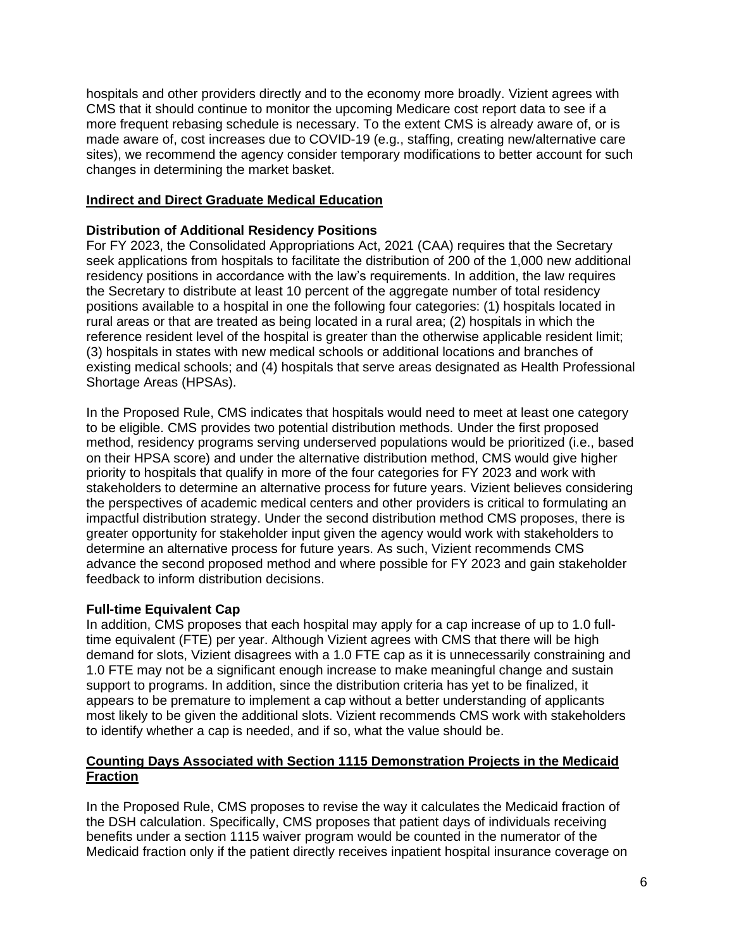hospitals and other providers directly and to the economy more broadly. Vizient agrees with CMS that it should continue to monitor the upcoming Medicare cost report data to see if a more frequent rebasing schedule is necessary. To the extent CMS is already aware of, or is made aware of, cost increases due to COVID-19 (e.g., staffing, creating new/alternative care sites), we recommend the agency consider temporary modifications to better account for such changes in determining the market basket.

# **Indirect and Direct Graduate Medical Education**

# **Distribution of Additional Residency Positions**

For FY 2023, the Consolidated Appropriations Act, 2021 (CAA) requires that the Secretary seek applications from hospitals to facilitate the distribution of 200 of the 1,000 new additional residency positions in accordance with the law's requirements. In addition, the law requires the Secretary to distribute at least 10 percent of the aggregate number of total residency positions available to a hospital in one the following four categories: (1) hospitals located in rural areas or that are treated as being located in a rural area; (2) hospitals in which the reference resident level of the hospital is greater than the otherwise applicable resident limit; (3) hospitals in states with new medical schools or additional locations and branches of existing medical schools; and (4) hospitals that serve areas designated as Health Professional Shortage Areas (HPSAs).

In the Proposed Rule, CMS indicates that hospitals would need to meet at least one category to be eligible. CMS provides two potential distribution methods. Under the first proposed method, residency programs serving underserved populations would be prioritized (i.e., based on their HPSA score) and under the alternative distribution method, CMS would give higher priority to hospitals that qualify in more of the four categories for FY 2023 and work with stakeholders to determine an alternative process for future years. Vizient believes considering the perspectives of academic medical centers and other providers is critical to formulating an impactful distribution strategy. Under the second distribution method CMS proposes, there is greater opportunity for stakeholder input given the agency would work with stakeholders to determine an alternative process for future years. As such, Vizient recommends CMS advance the second proposed method and where possible for FY 2023 and gain stakeholder feedback to inform distribution decisions.

# **Full-time Equivalent Cap**

In addition, CMS proposes that each hospital may apply for a cap increase of up to 1.0 fulltime equivalent (FTE) per year. Although Vizient agrees with CMS that there will be high demand for slots, Vizient disagrees with a 1.0 FTE cap as it is unnecessarily constraining and 1.0 FTE may not be a significant enough increase to make meaningful change and sustain support to programs. In addition, since the distribution criteria has yet to be finalized, it appears to be premature to implement a cap without a better understanding of applicants most likely to be given the additional slots. Vizient recommends CMS work with stakeholders to identify whether a cap is needed, and if so, what the value should be.

# **Counting Days Associated with Section 1115 Demonstration Projects in the Medicaid Fraction**

In the Proposed Rule, CMS proposes to revise the way it calculates the Medicaid fraction of the DSH calculation. Specifically, CMS proposes that patient days of individuals receiving benefits under a section 1115 waiver program would be counted in the numerator of the Medicaid fraction only if the patient directly receives inpatient hospital insurance coverage on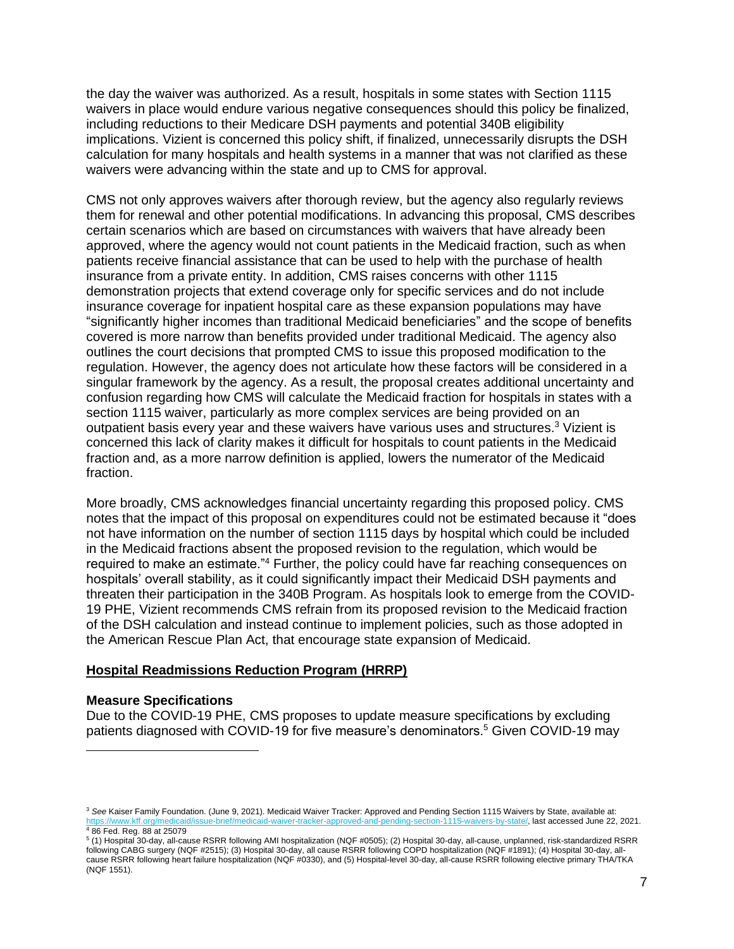the day the waiver was authorized. As a result, hospitals in some states with Section 1115 waivers in place would endure various negative consequences should this policy be finalized, including reductions to their Medicare DSH payments and potential 340B eligibility implications. Vizient is concerned this policy shift, if finalized, unnecessarily disrupts the DSH calculation for many hospitals and health systems in a manner that was not clarified as these waivers were advancing within the state and up to CMS for approval.

CMS not only approves waivers after thorough review, but the agency also regularly reviews them for renewal and other potential modifications. In advancing this proposal, CMS describes certain scenarios which are based on circumstances with waivers that have already been approved, where the agency would not count patients in the Medicaid fraction, such as when patients receive financial assistance that can be used to help with the purchase of health insurance from a private entity. In addition, CMS raises concerns with other 1115 demonstration projects that extend coverage only for specific services and do not include insurance coverage for inpatient hospital care as these expansion populations may have "significantly higher incomes than traditional Medicaid beneficiaries" and the scope of benefits covered is more narrow than benefits provided under traditional Medicaid. The agency also outlines the court decisions that prompted CMS to issue this proposed modification to the regulation. However, the agency does not articulate how these factors will be considered in a singular framework by the agency. As a result, the proposal creates additional uncertainty and confusion regarding how CMS will calculate the Medicaid fraction for hospitals in states with a section 1115 waiver, particularly as more complex services are being provided on an outpatient basis every year and these waivers have various uses and structures.<sup>3</sup> Vizient is concerned this lack of clarity makes it difficult for hospitals to count patients in the Medicaid fraction and, as a more narrow definition is applied, lowers the numerator of the Medicaid fraction.

More broadly, CMS acknowledges financial uncertainty regarding this proposed policy. CMS notes that the impact of this proposal on expenditures could not be estimated because it "does not have information on the number of section 1115 days by hospital which could be included in the Medicaid fractions absent the proposed revision to the regulation, which would be required to make an estimate."<sup>4</sup> Further, the policy could have far reaching consequences on hospitals' overall stability, as it could significantly impact their Medicaid DSH payments and threaten their participation in the 340B Program. As hospitals look to emerge from the COVID-19 PHE, Vizient recommends CMS refrain from its proposed revision to the Medicaid fraction of the DSH calculation and instead continue to implement policies, such as those adopted in the American Rescue Plan Act, that encourage state expansion of Medicaid.

#### **Hospital Readmissions Reduction Program (HRRP)**

#### **Measure Specifications**

Due to the COVID-19 PHE, CMS proposes to update measure specifications by excluding patients diagnosed with COVID-19 for five measure's denominators.<sup>5</sup> Given COVID-19 may

<sup>3</sup> *See* Kaiser Family Foundation. (June 9, 2021). Medicaid Waiver Tracker: Approved and Pending Section 1115 Waivers by State, available at: s-by-state/, last accessed June 22, 2021. <sup>4</sup> 86 Fed. Reg. 88 at 25079

<sup>5</sup> (1) Hospital 30-day, all-cause RSRR following AMI hospitalization (NQF #0505); (2) Hospital 30-day, all-cause, unplanned, risk-standardized RSRR following CABG surgery (NQF #2515); (3) Hospital 30-day, all cause RSRR following COPD hospitalization (NQF #1891); (4) Hospital 30-day, allcause RSRR following heart failure hospitalization (NQF #0330), and (5) Hospital-level 30-day, all-cause RSRR following elective primary THA/TKA (NQF 1551).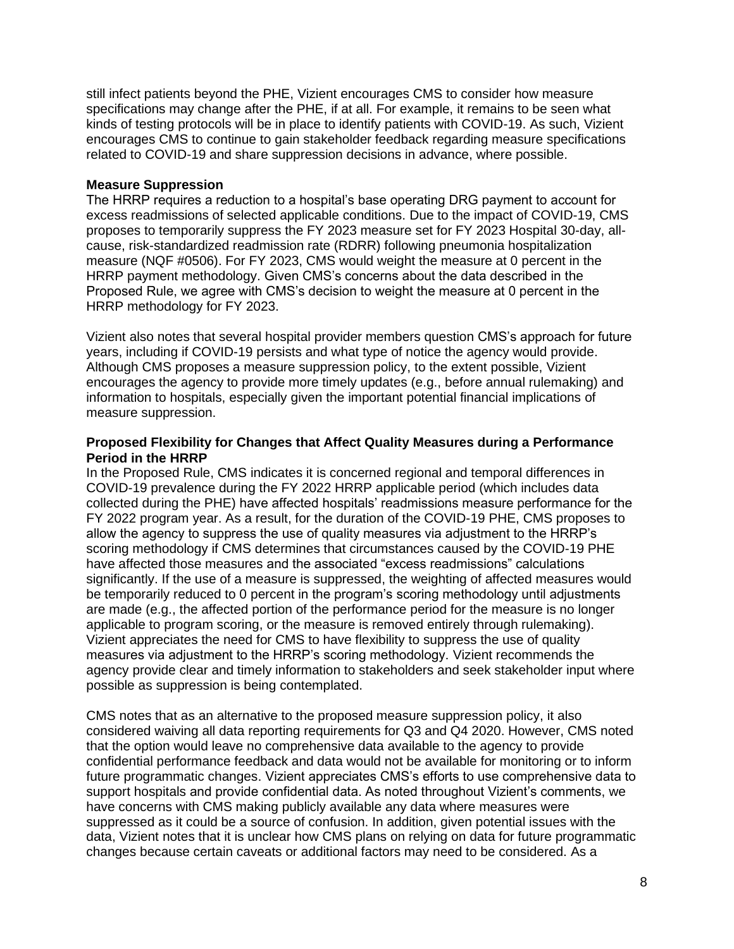still infect patients beyond the PHE, Vizient encourages CMS to consider how measure specifications may change after the PHE, if at all. For example, it remains to be seen what kinds of testing protocols will be in place to identify patients with COVID-19. As such, Vizient encourages CMS to continue to gain stakeholder feedback regarding measure specifications related to COVID-19 and share suppression decisions in advance, where possible.

### **Measure Suppression**

The HRRP requires a reduction to a hospital's base operating DRG payment to account for excess readmissions of selected applicable conditions. Due to the impact of COVID-19, CMS proposes to temporarily suppress the FY 2023 measure set for FY 2023 Hospital 30-day, allcause, risk-standardized readmission rate (RDRR) following pneumonia hospitalization measure (NQF #0506). For FY 2023, CMS would weight the measure at 0 percent in the HRRP payment methodology. Given CMS's concerns about the data described in the Proposed Rule, we agree with CMS's decision to weight the measure at 0 percent in the HRRP methodology for FY 2023.

Vizient also notes that several hospital provider members question CMS's approach for future years, including if COVID-19 persists and what type of notice the agency would provide. Although CMS proposes a measure suppression policy, to the extent possible, Vizient encourages the agency to provide more timely updates (e.g., before annual rulemaking) and information to hospitals, especially given the important potential financial implications of measure suppression.

### **Proposed Flexibility for Changes that Affect Quality Measures during a Performance Period in the HRRP**

In the Proposed Rule, CMS indicates it is concerned regional and temporal differences in COVID-19 prevalence during the FY 2022 HRRP applicable period (which includes data collected during the PHE) have affected hospitals' readmissions measure performance for the FY 2022 program year. As a result, for the duration of the COVID-19 PHE, CMS proposes to allow the agency to suppress the use of quality measures via adjustment to the HRRP's scoring methodology if CMS determines that circumstances caused by the COVID-19 PHE have affected those measures and the associated "excess readmissions" calculations significantly. If the use of a measure is suppressed, the weighting of affected measures would be temporarily reduced to 0 percent in the program's scoring methodology until adjustments are made (e.g., the affected portion of the performance period for the measure is no longer applicable to program scoring, or the measure is removed entirely through rulemaking). Vizient appreciates the need for CMS to have flexibility to suppress the use of quality measures via adjustment to the HRRP's scoring methodology. Vizient recommends the agency provide clear and timely information to stakeholders and seek stakeholder input where possible as suppression is being contemplated.

CMS notes that as an alternative to the proposed measure suppression policy, it also considered waiving all data reporting requirements for Q3 and Q4 2020. However, CMS noted that the option would leave no comprehensive data available to the agency to provide confidential performance feedback and data would not be available for monitoring or to inform future programmatic changes. Vizient appreciates CMS's efforts to use comprehensive data to support hospitals and provide confidential data. As noted throughout Vizient's comments, we have concerns with CMS making publicly available any data where measures were suppressed as it could be a source of confusion. In addition, given potential issues with the data, Vizient notes that it is unclear how CMS plans on relying on data for future programmatic changes because certain caveats or additional factors may need to be considered. As a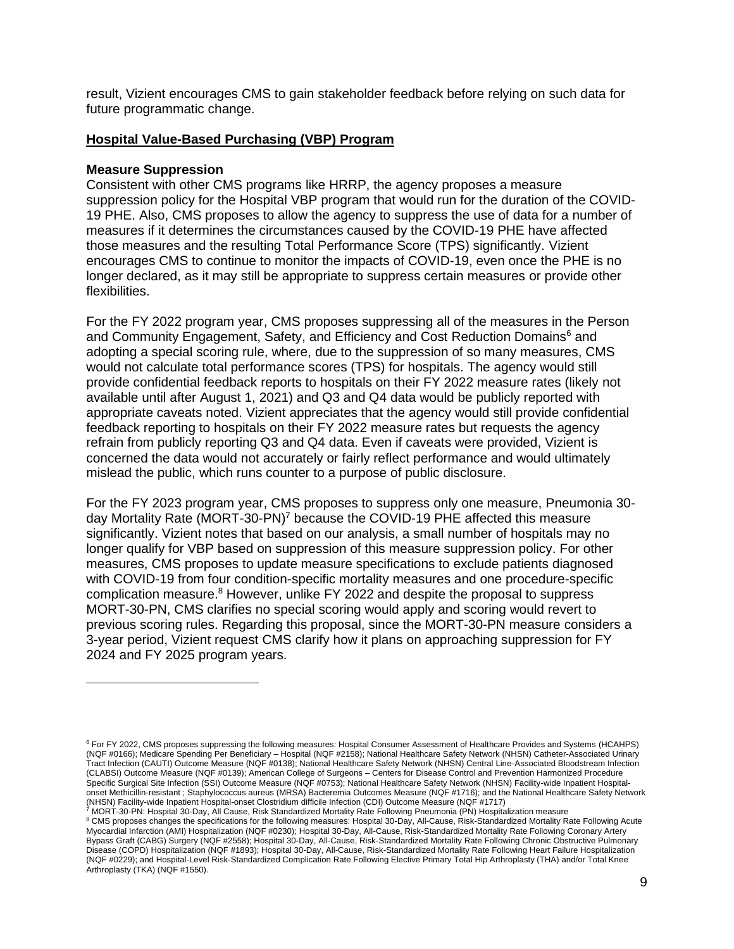result, Vizient encourages CMS to gain stakeholder feedback before relying on such data for future programmatic change.

#### **Hospital Value-Based Purchasing (VBP) Program**

#### **Measure Suppression**

Consistent with other CMS programs like HRRP, the agency proposes a measure suppression policy for the Hospital VBP program that would run for the duration of the COVID-19 PHE. Also, CMS proposes to allow the agency to suppress the use of data for a number of measures if it determines the circumstances caused by the COVID-19 PHE have affected those measures and the resulting Total Performance Score (TPS) significantly. Vizient encourages CMS to continue to monitor the impacts of COVID-19, even once the PHE is no longer declared, as it may still be appropriate to suppress certain measures or provide other flexibilities.

For the FY 2022 program year, CMS proposes suppressing all of the measures in the Person and Community Engagement, Safety, and Efficiency and Cost Reduction Domains<sup>6</sup> and adopting a special scoring rule, where, due to the suppression of so many measures, CMS would not calculate total performance scores (TPS) for hospitals. The agency would still provide confidential feedback reports to hospitals on their FY 2022 measure rates (likely not available until after August 1, 2021) and Q3 and Q4 data would be publicly reported with appropriate caveats noted. Vizient appreciates that the agency would still provide confidential feedback reporting to hospitals on their FY 2022 measure rates but requests the agency refrain from publicly reporting Q3 and Q4 data. Even if caveats were provided, Vizient is concerned the data would not accurately or fairly reflect performance and would ultimately mislead the public, which runs counter to a purpose of public disclosure.

For the FY 2023 program year, CMS proposes to suppress only one measure, Pneumonia 30 day Mortality Rate (MORT-30-PN)<sup>7</sup> because the COVID-19 PHE affected this measure significantly. Vizient notes that based on our analysis, a small number of hospitals may no longer qualify for VBP based on suppression of this measure suppression policy. For other measures, CMS proposes to update measure specifications to exclude patients diagnosed with COVID-19 from four condition-specific mortality measures and one procedure-specific complication measure.<sup>8</sup> However, unlike FY 2022 and despite the proposal to suppress MORT-30-PN, CMS clarifies no special scoring would apply and scoring would revert to previous scoring rules. Regarding this proposal, since the MORT-30-PN measure considers a 3-year period, Vizient request CMS clarify how it plans on approaching suppression for FY 2024 and FY 2025 program years.

<sup>6</sup> For FY 2022, CMS proposes suppressing the following measures: Hospital Consumer Assessment of Healthcare Provides and Systems (HCAHPS) (NQF #0166); Medicare Spending Per Beneficiary – Hospital (NQF #2158); National Healthcare Safety Network (NHSN) Catheter-Associated Urinary Tract Infection (CAUTI) Outcome Measure (NQF #0138); National Healthcare Safety Network (NHSN) Central Line-Associated Bloodstream Infection (CLABSI) Outcome Measure (NQF #0139); American College of Surgeons – Centers for Disease Control and Prevention Harmonized Procedure Specific Surgical Site Infection (SSI) Outcome Measure (NQF #0753); National Healthcare Safety Network (NHSN) Facility-wide Inpatient Hospitalonset Methicillin-resistant ; Staphylococcus aureus (MRSA) Bacteremia Outcomes Measure (NQF #1716); and the National Healthcare Safety Network (NHSN) Facility-wide Inpatient Hospital-onset Clostridium difficile Infection (CDI) Outcome Measure (NQF #1717)

<sup>7</sup> MORT-30-PN: Hospital 30-Day, All Cause, Risk Standardized Mortality Rate Following Pneumonia (PN) Hospitalization measure <sup>8</sup> CMS proposes changes the specifications for the following measures: Hospital 30-Day, All-Cause, Risk-Standardized Mortality Rate Following Acute Myocardial Infarction (AMI) Hospitalization (NQF #0230); Hospital 30-Day, All-Cause, Risk-Standardized Mortality Rate Following Coronary Artery Bypass Graft (CABG) Surgery (NQF #2558); Hospital 30-Day, All-Cause, Risk-Standardized Mortality Rate Following Chronic Obstructive Pulmonary Disease (COPD) Hospitalization (NQF #1893); Hospital 30-Day, All-Cause, Risk-Standardized Mortality Rate Following Heart Failure Hospitalization (NQF #0229); and Hospital-Level Risk-Standardized Complication Rate Following Elective Primary Total Hip Arthroplasty (THA) and/or Total Knee Arthroplasty (TKA) (NQF #1550).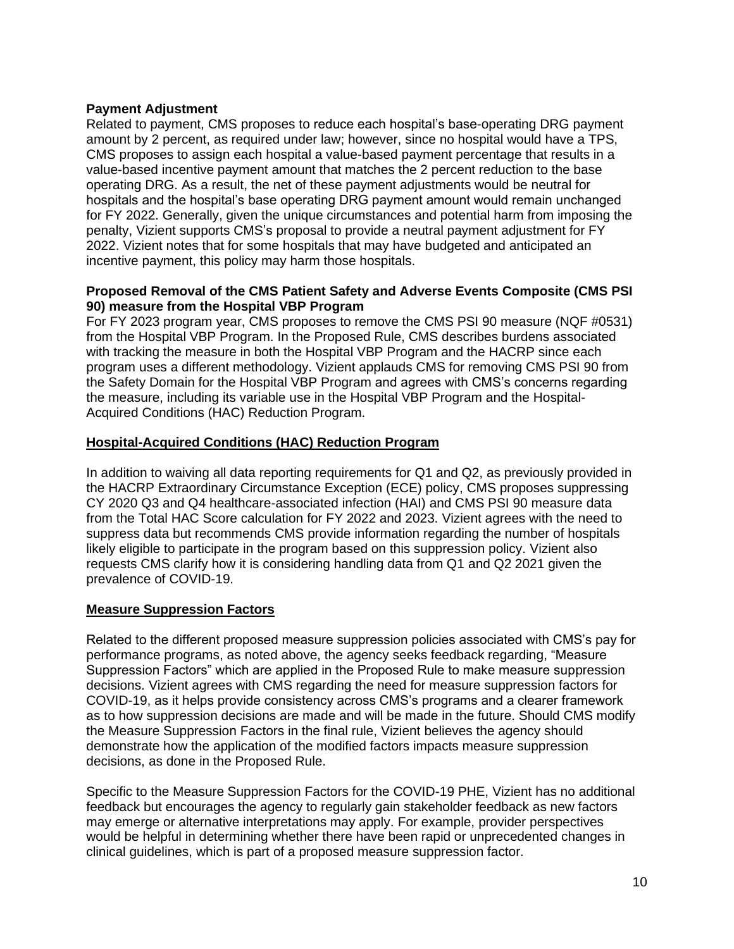### **Payment Adjustment**

Related to payment, CMS proposes to reduce each hospital's base-operating DRG payment amount by 2 percent, as required under law; however, since no hospital would have a TPS, CMS proposes to assign each hospital a value-based payment percentage that results in a value-based incentive payment amount that matches the 2 percent reduction to the base operating DRG. As a result, the net of these payment adjustments would be neutral for hospitals and the hospital's base operating DRG payment amount would remain unchanged for FY 2022. Generally, given the unique circumstances and potential harm from imposing the penalty, Vizient supports CMS's proposal to provide a neutral payment adjustment for FY 2022. Vizient notes that for some hospitals that may have budgeted and anticipated an incentive payment, this policy may harm those hospitals.

# **Proposed Removal of the CMS Patient Safety and Adverse Events Composite (CMS PSI 90) measure from the Hospital VBP Program**

For FY 2023 program year, CMS proposes to remove the CMS PSI 90 measure (NQF #0531) from the Hospital VBP Program. In the Proposed Rule, CMS describes burdens associated with tracking the measure in both the Hospital VBP Program and the HACRP since each program uses a different methodology. Vizient applauds CMS for removing CMS PSI 90 from the Safety Domain for the Hospital VBP Program and agrees with CMS's concerns regarding the measure, including its variable use in the Hospital VBP Program and the Hospital-Acquired Conditions (HAC) Reduction Program.

### **Hospital-Acquired Conditions (HAC) Reduction Program**

In addition to waiving all data reporting requirements for Q1 and Q2, as previously provided in the HACRP Extraordinary Circumstance Exception (ECE) policy, CMS proposes suppressing CY 2020 Q3 and Q4 healthcare-associated infection (HAI) and CMS PSI 90 measure data from the Total HAC Score calculation for FY 2022 and 2023. Vizient agrees with the need to suppress data but recommends CMS provide information regarding the number of hospitals likely eligible to participate in the program based on this suppression policy. Vizient also requests CMS clarify how it is considering handling data from Q1 and Q2 2021 given the prevalence of COVID-19.

# **Measure Suppression Factors**

Related to the different proposed measure suppression policies associated with CMS's pay for performance programs, as noted above, the agency seeks feedback regarding, "Measure Suppression Factors" which are applied in the Proposed Rule to make measure suppression decisions. Vizient agrees with CMS regarding the need for measure suppression factors for COVID-19, as it helps provide consistency across CMS's programs and a clearer framework as to how suppression decisions are made and will be made in the future. Should CMS modify the Measure Suppression Factors in the final rule, Vizient believes the agency should demonstrate how the application of the modified factors impacts measure suppression decisions, as done in the Proposed Rule.

Specific to the Measure Suppression Factors for the COVID-19 PHE, Vizient has no additional feedback but encourages the agency to regularly gain stakeholder feedback as new factors may emerge or alternative interpretations may apply. For example, provider perspectives would be helpful in determining whether there have been rapid or unprecedented changes in clinical guidelines, which is part of a proposed measure suppression factor.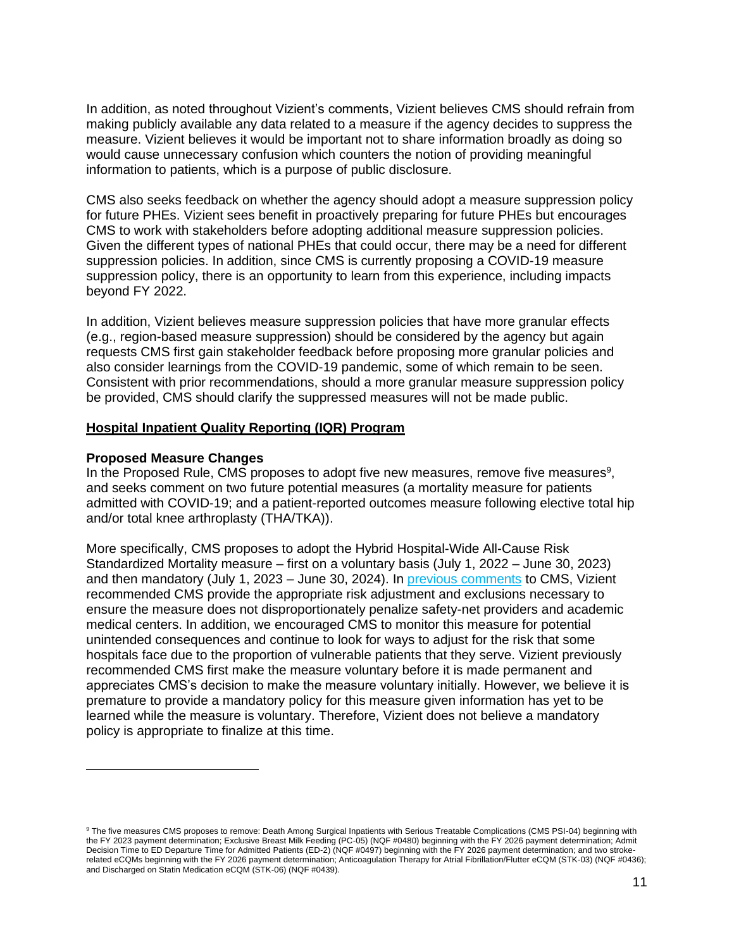In addition, as noted throughout Vizient's comments, Vizient believes CMS should refrain from making publicly available any data related to a measure if the agency decides to suppress the measure. Vizient believes it would be important not to share information broadly as doing so would cause unnecessary confusion which counters the notion of providing meaningful information to patients, which is a purpose of public disclosure.

CMS also seeks feedback on whether the agency should adopt a measure suppression policy for future PHEs. Vizient sees benefit in proactively preparing for future PHEs but encourages CMS to work with stakeholders before adopting additional measure suppression policies. Given the different types of national PHEs that could occur, there may be a need for different suppression policies. In addition, since CMS is currently proposing a COVID-19 measure suppression policy, there is an opportunity to learn from this experience, including impacts beyond FY 2022.

In addition, Vizient believes measure suppression policies that have more granular effects (e.g., region-based measure suppression) should be considered by the agency but again requests CMS first gain stakeholder feedback before proposing more granular policies and also consider learnings from the COVID-19 pandemic, some of which remain to be seen. Consistent with prior recommendations, should a more granular measure suppression policy be provided, CMS should clarify the suppressed measures will not be made public.

### **Hospital Inpatient Quality Reporting (IQR) Program**

#### **Proposed Measure Changes**

In the Proposed Rule, CMS proposes to adopt five new measures, remove five measures $9$ , and seeks comment on two future potential measures (a mortality measure for patients admitted with COVID-19; and a patient-reported outcomes measure following elective total hip and/or total knee arthroplasty (THA/TKA)).

More specifically, CMS proposes to adopt the Hybrid Hospital-Wide All-Cause Risk Standardized Mortality measure – first on a voluntary basis (July 1, 2022 – June 30, 2023) and then mandatory (July 1, 2023 – June 30, 2024). In [previous comments](https://www.vizientinc.com/-/media/documents/sitecorepublishingdocuments/public/aboutus/20180625_vizient_comment_letter_cms_1694_p.pdf) to CMS, Vizient recommended CMS provide the appropriate risk adjustment and exclusions necessary to ensure the measure does not disproportionately penalize safety-net providers and academic medical centers. In addition, we encouraged CMS to monitor this measure for potential unintended consequences and continue to look for ways to adjust for the risk that some hospitals face due to the proportion of vulnerable patients that they serve. Vizient previously recommended CMS first make the measure voluntary before it is made permanent and appreciates CMS's decision to make the measure voluntary initially. However, we believe it is premature to provide a mandatory policy for this measure given information has yet to be learned while the measure is voluntary. Therefore, Vizient does not believe a mandatory policy is appropriate to finalize at this time.

<sup>9</sup> The five measures CMS proposes to remove: Death Among Surgical Inpatients with Serious Treatable Complications (CMS PSI-04) beginning with the FY 2023 payment determination; Exclusive Breast Milk Feeding (PC-05) (NQF #0480) beginning with the FY 2026 payment determination; Admit Decision Time to ED Departure Time for Admitted Patients (ED-2) (NQF #0497) beginning with the FY 2026 payment determination; and two strokerelated eCQMs beginning with the FY 2026 payment determination; Anticoagulation Therapy for Atrial Fibrillation/Flutter eCQM (STK-03) (NQF #0436); and Discharged on Statin Medication eCQM (STK-06) (NQF #0439).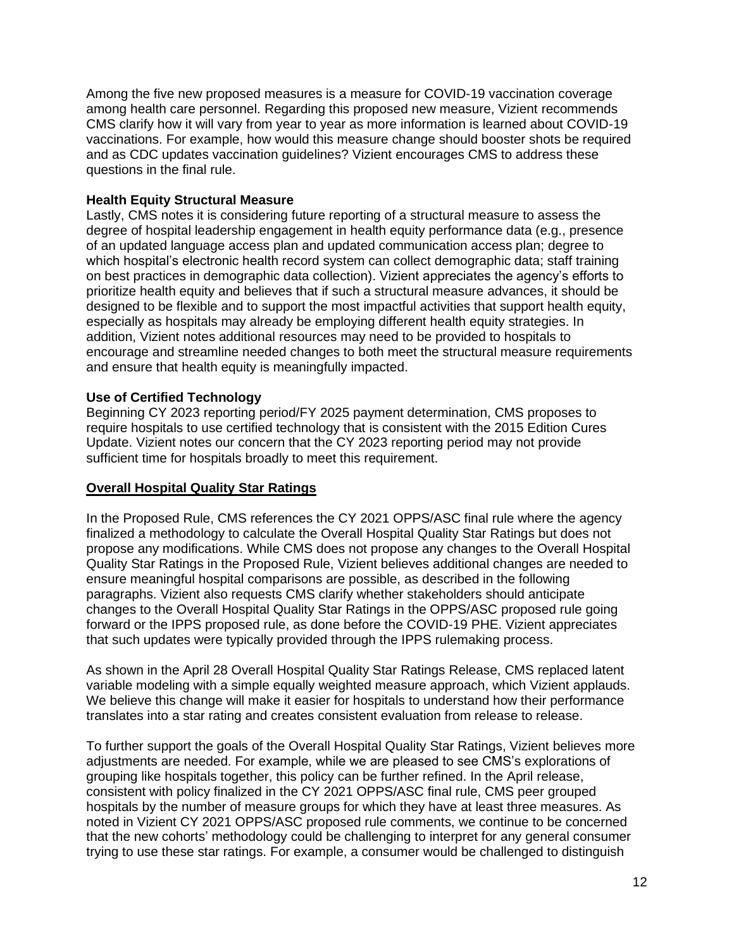Among the five new proposed measures is a measure for COVID-19 vaccination coverage among health care personnel. Regarding this proposed new measure, Vizient recommends CMS clarify how it will vary from year to year as more information is learned about COVID-19 vaccinations. For example, how would this measure change should booster shots be required and as CDC updates vaccination guidelines? Vizient encourages CMS to address these questions in the final rule.

# **Health Equity Structural Measure**

Lastly, CMS notes it is considering future reporting of a structural measure to assess the degree of hospital leadership engagement in health equity performance data (e.g., presence of an updated language access plan and updated communication access plan; degree to which hospital's electronic health record system can collect demographic data; staff training on best practices in demographic data collection). Vizient appreciates the agency's efforts to prioritize health equity and believes that if such a structural measure advances, it should be designed to be flexible and to support the most impactful activities that support health equity, especially as hospitals may already be employing different health equity strategies. In addition, Vizient notes additional resources may need to be provided to hospitals to encourage and streamline needed changes to both meet the structural measure requirements and ensure that health equity is meaningfully impacted.

# **Use of Certified Technology**

Beginning CY 2023 reporting period/FY 2025 payment determination, CMS proposes to require hospitals to use certified technology that is consistent with the 2015 Edition Cures Update. Vizient notes our concern that the CY 2023 reporting period may not provide sufficient time for hospitals broadly to meet this requirement.

# **Overall Hospital Quality Star Ratings**

In the Proposed Rule, CMS references the CY 2021 OPPS/ASC final rule where the agency finalized a methodology to calculate the Overall Hospital Quality Star Ratings but does not propose any modifications. While CMS does not propose any changes to the Overall Hospital Quality Star Ratings in the Proposed Rule, Vizient believes additional changes are needed to ensure meaningful hospital comparisons are possible, as described in the following paragraphs. Vizient also requests CMS clarify whether stakeholders should anticipate changes to the Overall Hospital Quality Star Ratings in the OPPS/ASC proposed rule going forward or the IPPS proposed rule, as done before the COVID-19 PHE. Vizient appreciates that such updates were typically provided through the IPPS rulemaking process.

As shown in the April 28 Overall Hospital Quality Star Ratings Release, CMS replaced latent variable modeling with a simple equally weighted measure approach, which Vizient applauds. We believe this change will make it easier for hospitals to understand how their performance translates into a star rating and creates consistent evaluation from release to release.

To further support the goals of the Overall Hospital Quality Star Ratings, Vizient believes more adjustments are needed. For example, while we are pleased to see CMS's explorations of grouping like hospitals together, this policy can be further refined. In the April release, consistent with policy finalized in the CY 2021 OPPS/ASC final rule, CMS peer grouped hospitals by the number of measure groups for which they have at least three measures. As noted in Vizient CY 2021 OPPS/ASC proposed rule comments, we continue to be concerned that the new cohorts' methodology could be challenging to interpret for any general consumer trying to use these star ratings. For example, a consumer would be challenged to distinguish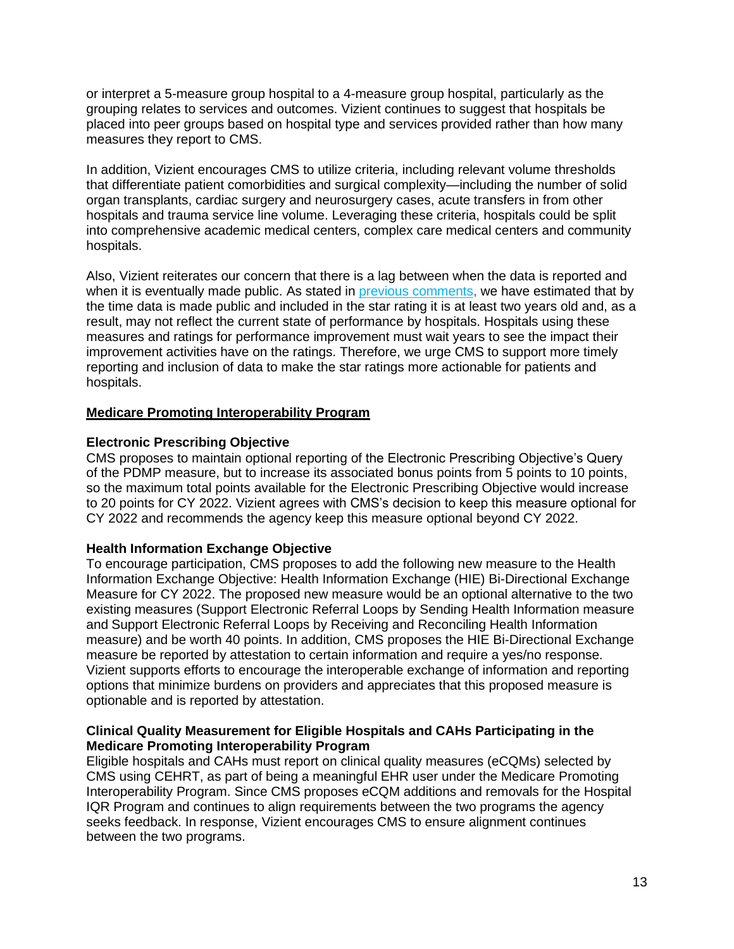or interpret a 5-measure group hospital to a 4-measure group hospital, particularly as the grouping relates to services and outcomes. Vizient continues to suggest that hospitals be placed into peer groups based on hospital type and services provided rather than how many measures they report to CMS.

In addition, Vizient encourages CMS to utilize criteria, including relevant volume thresholds that differentiate patient comorbidities and surgical complexity—including the number of solid organ transplants, cardiac surgery and neurosurgery cases, acute transfers in from other hospitals and trauma service line volume. Leveraging these criteria, hospitals could be split into comprehensive academic medical centers, complex care medical centers and community hospitals.

Also, Vizient reiterates our concern that there is a lag between when the data is reported and when it is eventually made public. As stated in [previous comments,](https://www.vizientinc.com/-/media/documents/sitecorepublishingdocuments/public/aboutus/20190329_vizient_response_to_request_for_public_input_star_ratings.pdf) we have estimated that by the time data is made public and included in the star rating it is at least two years old and, as a result, may not reflect the current state of performance by hospitals. Hospitals using these measures and ratings for performance improvement must wait years to see the impact their improvement activities have on the ratings. Therefore, we urge CMS to support more timely reporting and inclusion of data to make the star ratings more actionable for patients and hospitals.

# **Medicare Promoting Interoperability Program**

# **Electronic Prescribing Objective**

CMS proposes to maintain optional reporting of the Electronic Prescribing Objective's Query of the PDMP measure, but to increase its associated bonus points from 5 points to 10 points, so the maximum total points available for the Electronic Prescribing Objective would increase to 20 points for CY 2022. Vizient agrees with CMS's decision to keep this measure optional for CY 2022 and recommends the agency keep this measure optional beyond CY 2022.

# **Health Information Exchange Objective**

To encourage participation, CMS proposes to add the following new measure to the Health Information Exchange Objective: Health Information Exchange (HIE) Bi-Directional Exchange Measure for CY 2022. The proposed new measure would be an optional alternative to the two existing measures (Support Electronic Referral Loops by Sending Health Information measure and Support Electronic Referral Loops by Receiving and Reconciling Health Information measure) and be worth 40 points. In addition, CMS proposes the HIE Bi-Directional Exchange measure be reported by attestation to certain information and require a yes/no response. Vizient supports efforts to encourage the interoperable exchange of information and reporting options that minimize burdens on providers and appreciates that this proposed measure is optionable and is reported by attestation.

# **Clinical Quality Measurement for Eligible Hospitals and CAHs Participating in the Medicare Promoting Interoperability Program**

Eligible hospitals and CAHs must report on clinical quality measures (eCQMs) selected by CMS using CEHRT, as part of being a meaningful EHR user under the Medicare Promoting Interoperability Program. Since CMS proposes eCQM additions and removals for the Hospital IQR Program and continues to align requirements between the two programs the agency seeks feedback. In response, Vizient encourages CMS to ensure alignment continues between the two programs.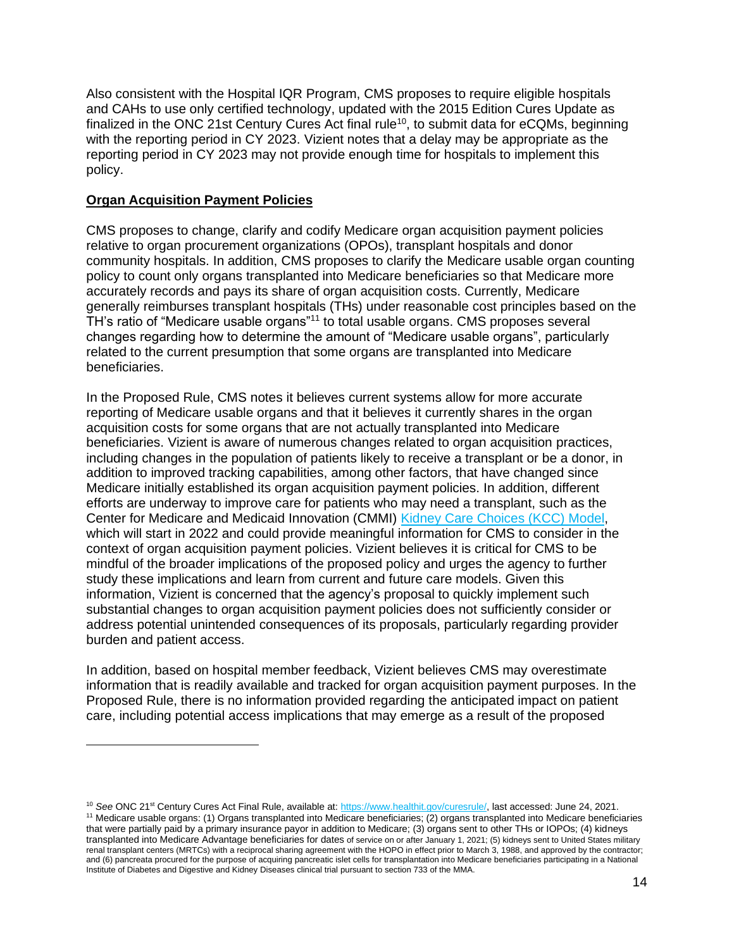Also consistent with the Hospital IQR Program, CMS proposes to require eligible hospitals and CAHs to use only certified technology, updated with the 2015 Edition Cures Update as finalized in the ONC 21st Century Cures Act final rule<sup>10</sup>, to submit data for eCQMs, beginning with the reporting period in CY 2023. Vizient notes that a delay may be appropriate as the reporting period in CY 2023 may not provide enough time for hospitals to implement this policy.

# **Organ Acquisition Payment Policies**

CMS proposes to change, clarify and codify Medicare organ acquisition payment policies relative to organ procurement organizations (OPOs), transplant hospitals and donor community hospitals. In addition, CMS proposes to clarify the Medicare usable organ counting policy to count only organs transplanted into Medicare beneficiaries so that Medicare more accurately records and pays its share of organ acquisition costs. Currently, Medicare generally reimburses transplant hospitals (THs) under reasonable cost principles based on the TH's ratio of "Medicare usable organs"<sup>11</sup> to total usable organs. CMS proposes several changes regarding how to determine the amount of "Medicare usable organs", particularly related to the current presumption that some organs are transplanted into Medicare beneficiaries.

In the Proposed Rule, CMS notes it believes current systems allow for more accurate reporting of Medicare usable organs and that it believes it currently shares in the organ acquisition costs for some organs that are not actually transplanted into Medicare beneficiaries. Vizient is aware of numerous changes related to organ acquisition practices, including changes in the population of patients likely to receive a transplant or be a donor, in addition to improved tracking capabilities, among other factors, that have changed since Medicare initially established its organ acquisition payment policies. In addition, different efforts are underway to improve care for patients who may need a transplant, such as the Center for Medicare and Medicaid Innovation (CMMI) [Kidney Care Choices \(KCC\) Model,](https://innovation.cms.gov/innovation-models/kidney-care-choices-kcc-model) which will start in 2022 and could provide meaningful information for CMS to consider in the context of organ acquisition payment policies. Vizient believes it is critical for CMS to be mindful of the broader implications of the proposed policy and urges the agency to further study these implications and learn from current and future care models. Given this information, Vizient is concerned that the agency's proposal to quickly implement such substantial changes to organ acquisition payment policies does not sufficiently consider or address potential unintended consequences of its proposals, particularly regarding provider burden and patient access.

In addition, based on hospital member feedback, Vizient believes CMS may overestimate information that is readily available and tracked for organ acquisition payment purposes. In the Proposed Rule, there is no information provided regarding the anticipated impact on patient care, including potential access implications that may emerge as a result of the proposed

<sup>&</sup>lt;sup>10</sup> See ONC 21<sup>st</sup> Century Cures Act Final Rule, available at[: https://www.healthit.gov/curesrule/,](https://www.healthit.gov/curesrule/) last accessed: June 24, 2021. <sup>11</sup> Medicare usable organs: (1) Organs transplanted into Medicare beneficiaries; (2) organs transplanted into Medicare beneficiaries that were partially paid by a primary insurance payor in addition to Medicare; (3) organs sent to other THs or IOPOs; (4) kidneys transplanted into Medicare Advantage beneficiaries for dates of service on or after January 1, 2021; (5) kidneys sent to United States military renal transplant centers (MRTCs) with a reciprocal sharing agreement with the HOPO in effect prior to March 3, 1988, and approved by the contractor; and (6) pancreata procured for the purpose of acquiring pancreatic islet cells for transplantation into Medicare beneficiaries participating in a National Institute of Diabetes and Digestive and Kidney Diseases clinical trial pursuant to section 733 of the MMA.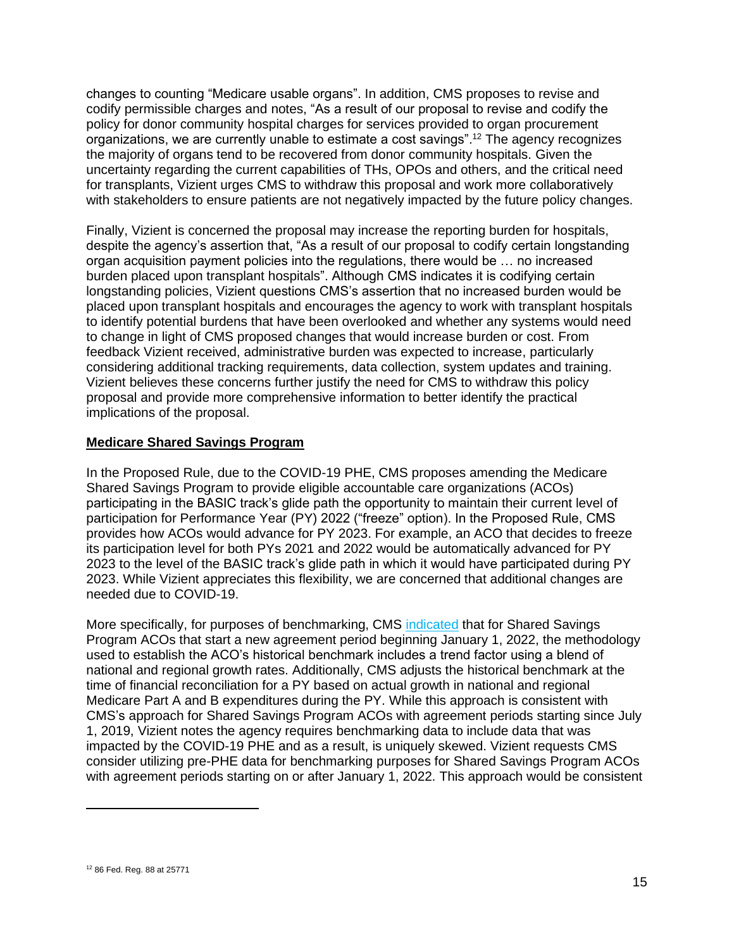changes to counting "Medicare usable organs". In addition, CMS proposes to revise and codify permissible charges and notes, "As a result of our proposal to revise and codify the policy for donor community hospital charges for services provided to organ procurement organizations, we are currently unable to estimate a cost savings". <sup>12</sup> The agency recognizes the majority of organs tend to be recovered from donor community hospitals. Given the uncertainty regarding the current capabilities of THs, OPOs and others, and the critical need for transplants, Vizient urges CMS to withdraw this proposal and work more collaboratively with stakeholders to ensure patients are not negatively impacted by the future policy changes.

Finally, Vizient is concerned the proposal may increase the reporting burden for hospitals, despite the agency's assertion that, "As a result of our proposal to codify certain longstanding organ acquisition payment policies into the regulations, there would be … no increased burden placed upon transplant hospitals". Although CMS indicates it is codifying certain longstanding policies, Vizient questions CMS's assertion that no increased burden would be placed upon transplant hospitals and encourages the agency to work with transplant hospitals to identify potential burdens that have been overlooked and whether any systems would need to change in light of CMS proposed changes that would increase burden or cost. From feedback Vizient received, administrative burden was expected to increase, particularly considering additional tracking requirements, data collection, system updates and training. Vizient believes these concerns further justify the need for CMS to withdraw this policy proposal and provide more comprehensive information to better identify the practical implications of the proposal.

### **Medicare Shared Savings Program**

In the Proposed Rule, due to the COVID-19 PHE, CMS proposes amending the Medicare Shared Savings Program to provide eligible accountable care organizations (ACOs) participating in the BASIC track's glide path the opportunity to maintain their current level of participation for Performance Year (PY) 2022 ("freeze" option). In the Proposed Rule, CMS provides how ACOs would advance for PY 2023. For example, an ACO that decides to freeze its participation level for both PYs 2021 and 2022 would be automatically advanced for PY 2023 to the level of the BASIC track's glide path in which it would have participated during PY 2023. While Vizient appreciates this flexibility, we are concerned that additional changes are needed due to COVID-19.

More specifically, for purposes of benchmarking, CMS [indicated](https://newsroom.vizientinc.com/content/1221/files/Documents/20210528_CMS_Response_to_Shoshana.pdf) that for Shared Savings Program ACOs that start a new agreement period beginning January 1, 2022, the methodology used to establish the ACO's historical benchmark includes a trend factor using a blend of national and regional growth rates. Additionally, CMS adjusts the historical benchmark at the time of financial reconciliation for a PY based on actual growth in national and regional Medicare Part A and B expenditures during the PY. While this approach is consistent with CMS's approach for Shared Savings Program ACOs with agreement periods starting since July 1, 2019, Vizient notes the agency requires benchmarking data to include data that was impacted by the COVID-19 PHE and as a result, is uniquely skewed. Vizient requests CMS consider utilizing pre-PHE data for benchmarking purposes for Shared Savings Program ACOs with agreement periods starting on or after January 1, 2022. This approach would be consistent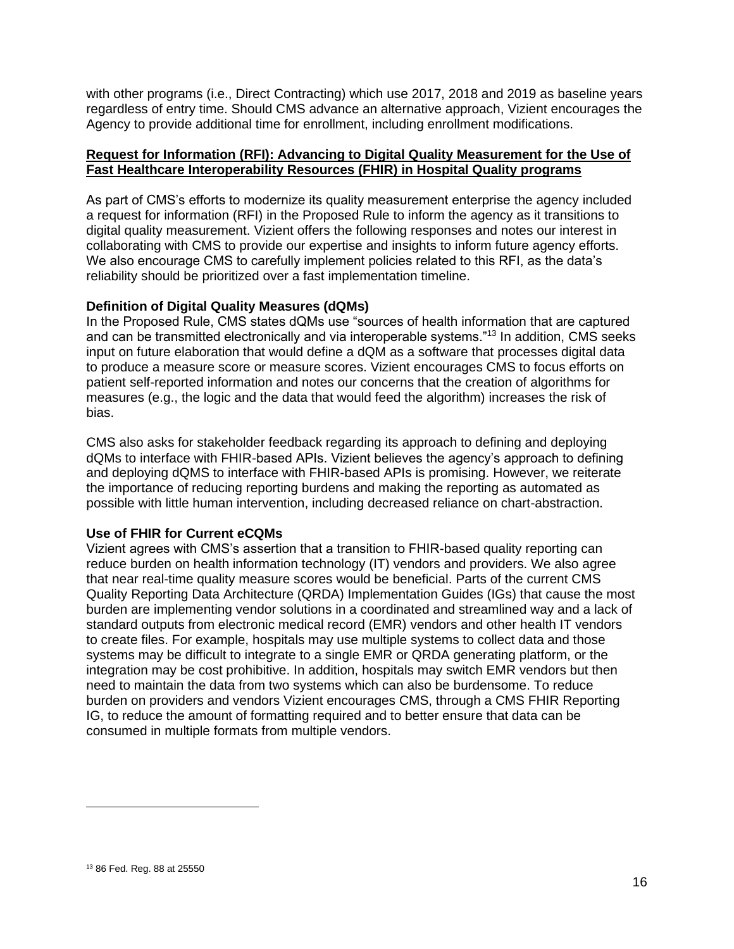with other programs (i.e., Direct Contracting) which use 2017, 2018 and 2019 as baseline years regardless of entry time. Should CMS advance an alternative approach, Vizient encourages the Agency to provide additional time for enrollment, including enrollment modifications.

### **Request for Information (RFI): Advancing to Digital Quality Measurement for the Use of Fast Healthcare Interoperability Resources (FHIR) in Hospital Quality programs**

As part of CMS's efforts to modernize its quality measurement enterprise the agency included a request for information (RFI) in the Proposed Rule to inform the agency as it transitions to digital quality measurement. Vizient offers the following responses and notes our interest in collaborating with CMS to provide our expertise and insights to inform future agency efforts. We also encourage CMS to carefully implement policies related to this RFI, as the data's reliability should be prioritized over a fast implementation timeline.

### **Definition of Digital Quality Measures (dQMs)**

In the Proposed Rule, CMS states dQMs use "sources of health information that are captured and can be transmitted electronically and via interoperable systems."<sup>13</sup> In addition, CMS seeks input on future elaboration that would define a dQM as a software that processes digital data to produce a measure score or measure scores. Vizient encourages CMS to focus efforts on patient self-reported information and notes our concerns that the creation of algorithms for measures (e.g., the logic and the data that would feed the algorithm) increases the risk of bias.

CMS also asks for stakeholder feedback regarding its approach to defining and deploying dQMs to interface with FHIR-based APIs. Vizient believes the agency's approach to defining and deploying dQMS to interface with FHIR-based APIs is promising. However, we reiterate the importance of reducing reporting burdens and making the reporting as automated as possible with little human intervention, including decreased reliance on chart-abstraction.

#### **Use of FHIR for Current eCQMs**

Vizient agrees with CMS's assertion that a transition to FHIR-based quality reporting can reduce burden on health information technology (IT) vendors and providers. We also agree that near real-time quality measure scores would be beneficial. Parts of the current CMS Quality Reporting Data Architecture (QRDA) Implementation Guides (IGs) that cause the most burden are implementing vendor solutions in a coordinated and streamlined way and a lack of standard outputs from electronic medical record (EMR) vendors and other health IT vendors to create files. For example, hospitals may use multiple systems to collect data and those systems may be difficult to integrate to a single EMR or QRDA generating platform, or the integration may be cost prohibitive. In addition, hospitals may switch EMR vendors but then need to maintain the data from two systems which can also be burdensome. To reduce burden on providers and vendors Vizient encourages CMS, through a CMS FHIR Reporting IG, to reduce the amount of formatting required and to better ensure that data can be consumed in multiple formats from multiple vendors.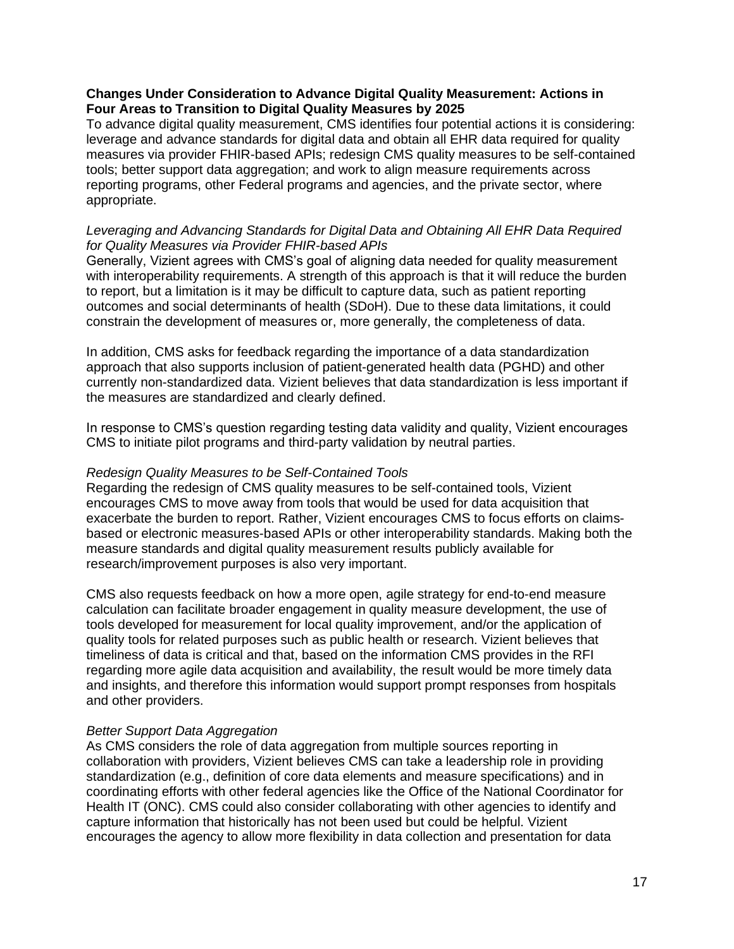# **Changes Under Consideration to Advance Digital Quality Measurement: Actions in Four Areas to Transition to Digital Quality Measures by 2025**

To advance digital quality measurement, CMS identifies four potential actions it is considering: leverage and advance standards for digital data and obtain all EHR data required for quality measures via provider FHIR-based APIs; redesign CMS quality measures to be self-contained tools; better support data aggregation; and work to align measure requirements across reporting programs, other Federal programs and agencies, and the private sector, where appropriate.

# *Leveraging and Advancing Standards for Digital Data and Obtaining All EHR Data Required for Quality Measures via Provider FHIR-based APIs*

Generally, Vizient agrees with CMS's goal of aligning data needed for quality measurement with interoperability requirements. A strength of this approach is that it will reduce the burden to report, but a limitation is it may be difficult to capture data, such as patient reporting outcomes and social determinants of health (SDoH). Due to these data limitations, it could constrain the development of measures or, more generally, the completeness of data.

In addition, CMS asks for feedback regarding the importance of a data standardization approach that also supports inclusion of patient-generated health data (PGHD) and other currently non-standardized data. Vizient believes that data standardization is less important if the measures are standardized and clearly defined.

In response to CMS's question regarding testing data validity and quality, Vizient encourages CMS to initiate pilot programs and third-party validation by neutral parties.

#### *Redesign Quality Measures to be Self-Contained Tools*

Regarding the redesign of CMS quality measures to be self-contained tools, Vizient encourages CMS to move away from tools that would be used for data acquisition that exacerbate the burden to report. Rather, Vizient encourages CMS to focus efforts on claimsbased or electronic measures-based APIs or other interoperability standards. Making both the measure standards and digital quality measurement results publicly available for research/improvement purposes is also very important.

CMS also requests feedback on how a more open, agile strategy for end-to-end measure calculation can facilitate broader engagement in quality measure development, the use of tools developed for measurement for local quality improvement, and/or the application of quality tools for related purposes such as public health or research. Vizient believes that timeliness of data is critical and that, based on the information CMS provides in the RFI regarding more agile data acquisition and availability, the result would be more timely data and insights, and therefore this information would support prompt responses from hospitals and other providers.

#### *Better Support Data Aggregation*

As CMS considers the role of data aggregation from multiple sources reporting in collaboration with providers, Vizient believes CMS can take a leadership role in providing standardization (e.g., definition of core data elements and measure specifications) and in coordinating efforts with other federal agencies like the Office of the National Coordinator for Health IT (ONC). CMS could also consider collaborating with other agencies to identify and capture information that historically has not been used but could be helpful. Vizient encourages the agency to allow more flexibility in data collection and presentation for data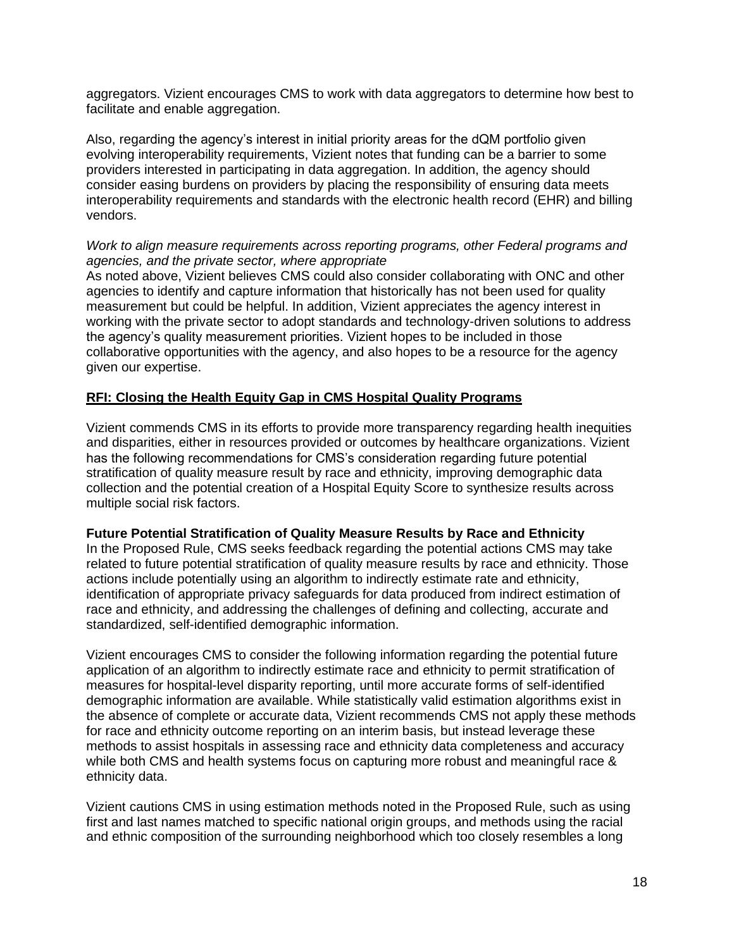aggregators. Vizient encourages CMS to work with data aggregators to determine how best to facilitate and enable aggregation.

Also, regarding the agency's interest in initial priority areas for the dQM portfolio given evolving interoperability requirements, Vizient notes that funding can be a barrier to some providers interested in participating in data aggregation. In addition, the agency should consider easing burdens on providers by placing the responsibility of ensuring data meets interoperability requirements and standards with the electronic health record (EHR) and billing vendors.

# *Work to align measure requirements across reporting programs, other Federal programs and agencies, and the private sector, where appropriate*

As noted above, Vizient believes CMS could also consider collaborating with ONC and other agencies to identify and capture information that historically has not been used for quality measurement but could be helpful. In addition, Vizient appreciates the agency interest in working with the private sector to adopt standards and technology-driven solutions to address the agency's quality measurement priorities. Vizient hopes to be included in those collaborative opportunities with the agency, and also hopes to be a resource for the agency given our expertise.

# **RFI: Closing the Health Equity Gap in CMS Hospital Quality Programs**

Vizient commends CMS in its efforts to provide more transparency regarding health inequities and disparities, either in resources provided or outcomes by healthcare organizations. Vizient has the following recommendations for CMS's consideration regarding future potential stratification of quality measure result by race and ethnicity, improving demographic data collection and the potential creation of a Hospital Equity Score to synthesize results across multiple social risk factors.

### **Future Potential Stratification of Quality Measure Results by Race and Ethnicity**

In the Proposed Rule, CMS seeks feedback regarding the potential actions CMS may take related to future potential stratification of quality measure results by race and ethnicity. Those actions include potentially using an algorithm to indirectly estimate rate and ethnicity, identification of appropriate privacy safeguards for data produced from indirect estimation of race and ethnicity, and addressing the challenges of defining and collecting, accurate and standardized, self-identified demographic information.

Vizient encourages CMS to consider the following information regarding the potential future application of an algorithm to indirectly estimate race and ethnicity to permit stratification of measures for hospital-level disparity reporting, until more accurate forms of self-identified demographic information are available. While statistically valid estimation algorithms exist in the absence of complete or accurate data, Vizient recommends CMS not apply these methods for race and ethnicity outcome reporting on an interim basis, but instead leverage these methods to assist hospitals in assessing race and ethnicity data completeness and accuracy while both CMS and health systems focus on capturing more robust and meaningful race & ethnicity data.

Vizient cautions CMS in using estimation methods noted in the Proposed Rule, such as using first and last names matched to specific national origin groups, and methods using the racial and ethnic composition of the surrounding neighborhood which too closely resembles a long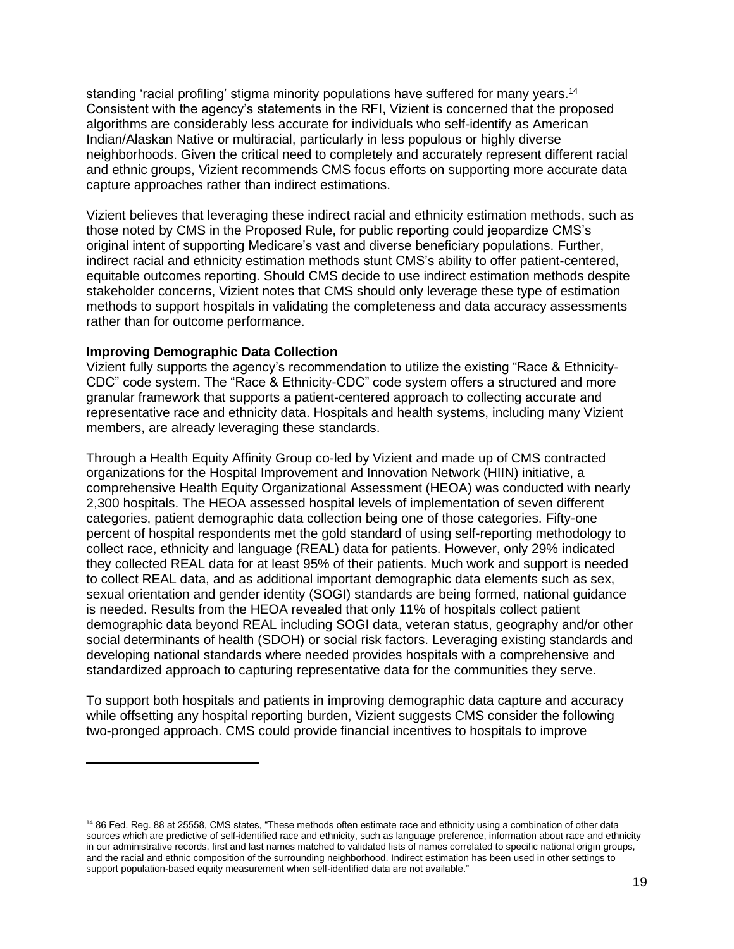standing 'racial profiling' stigma minority populations have suffered for many years.<sup>14</sup> Consistent with the agency's statements in the RFI, Vizient is concerned that the proposed algorithms are considerably less accurate for individuals who self-identify as American Indian/Alaskan Native or multiracial, particularly in less populous or highly diverse neighborhoods. Given the critical need to completely and accurately represent different racial and ethnic groups, Vizient recommends CMS focus efforts on supporting more accurate data capture approaches rather than indirect estimations.

Vizient believes that leveraging these indirect racial and ethnicity estimation methods, such as those noted by CMS in the Proposed Rule, for public reporting could jeopardize CMS's original intent of supporting Medicare's vast and diverse beneficiary populations. Further, indirect racial and ethnicity estimation methods stunt CMS's ability to offer patient-centered, equitable outcomes reporting. Should CMS decide to use indirect estimation methods despite stakeholder concerns, Vizient notes that CMS should only leverage these type of estimation methods to support hospitals in validating the completeness and data accuracy assessments rather than for outcome performance.

#### **Improving Demographic Data Collection**

Vizient fully supports the agency's recommendation to utilize the existing "Race & Ethnicity-CDC" code system. The "Race & Ethnicity-CDC" code system offers a structured and more granular framework that supports a patient-centered approach to collecting accurate and representative race and ethnicity data. Hospitals and health systems, including many Vizient members, are already leveraging these standards.

Through a Health Equity Affinity Group co-led by Vizient and made up of CMS contracted organizations for the Hospital Improvement and Innovation Network (HIIN) initiative, a comprehensive Health Equity Organizational Assessment (HEOA) was conducted with nearly 2,300 hospitals. The HEOA assessed hospital levels of implementation of seven different categories, patient demographic data collection being one of those categories. Fifty-one percent of hospital respondents met the gold standard of using self-reporting methodology to collect race, ethnicity and language (REAL) data for patients. However, only 29% indicated they collected REAL data for at least 95% of their patients. Much work and support is needed to collect REAL data, and as additional important demographic data elements such as sex, sexual orientation and gender identity (SOGI) standards are being formed, national guidance is needed. Results from the HEOA revealed that only 11% of hospitals collect patient demographic data beyond REAL including SOGI data, veteran status, geography and/or other social determinants of health (SDOH) or social risk factors. Leveraging existing standards and developing national standards where needed provides hospitals with a comprehensive and standardized approach to capturing representative data for the communities they serve.

To support both hospitals and patients in improving demographic data capture and accuracy while offsetting any hospital reporting burden, Vizient suggests CMS consider the following two-pronged approach. CMS could provide financial incentives to hospitals to improve

<sup>14</sup> 86 Fed. Reg. 88 at 25558, CMS states, "These methods often estimate race and ethnicity using a combination of other data sources which are predictive of self-identified race and ethnicity, such as language preference, information about race and ethnicity in our administrative records, first and last names matched to validated lists of names correlated to specific national origin groups, and the racial and ethnic composition of the surrounding neighborhood. Indirect estimation has been used in other settings to support population-based equity measurement when self-identified data are not available."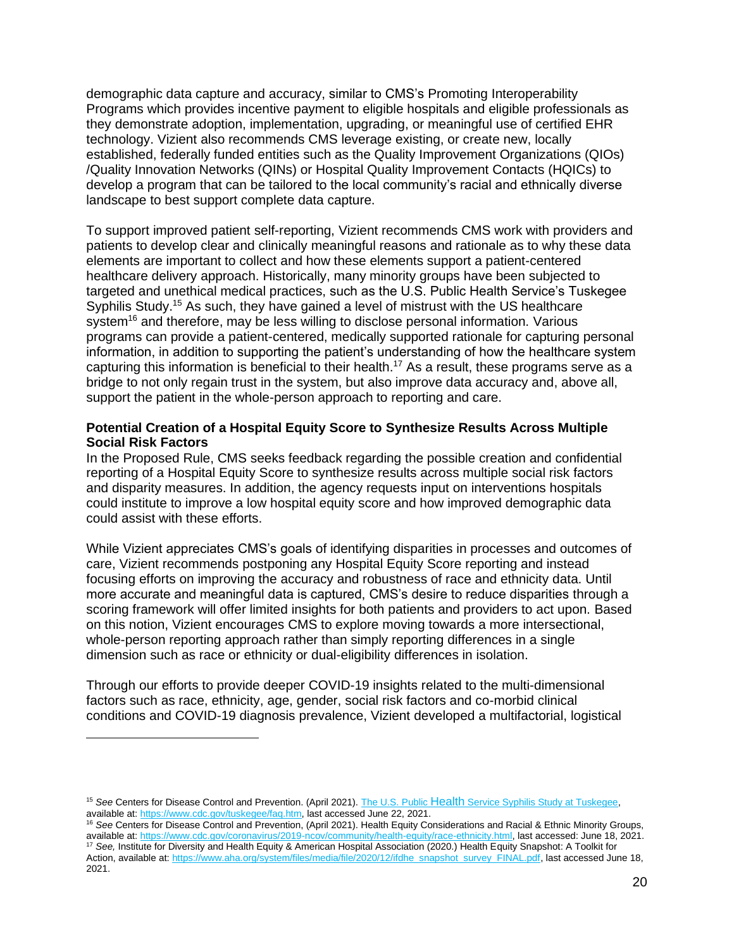demographic data capture and accuracy, similar to CMS's Promoting Interoperability Programs which provides incentive payment to eligible hospitals and eligible professionals as they demonstrate adoption, implementation, upgrading, or meaningful use of certified EHR technology. Vizient also recommends CMS leverage existing, or create new, locally established, federally funded entities such as the Quality Improvement Organizations (QIOs) /Quality Innovation Networks (QINs) or Hospital Quality Improvement Contacts (HQICs) to develop a program that can be tailored to the local community's racial and ethnically diverse landscape to best support complete data capture.

To support improved patient self-reporting, Vizient recommends CMS work with providers and patients to develop clear and clinically meaningful reasons and rationale as to why these data elements are important to collect and how these elements support a patient-centered healthcare delivery approach. Historically, many minority groups have been subjected to targeted and unethical medical practices, such as the U.S. Public Health Service's Tuskegee Syphilis Study.<sup>15</sup> As such, they have gained a level of mistrust with the US healthcare system<sup>16</sup> and therefore, may be less willing to disclose personal information. Various programs can provide a patient-centered, medically supported rationale for capturing personal information, in addition to supporting the patient's understanding of how the healthcare system capturing this information is beneficial to their health.<sup>17</sup> As a result, these programs serve as a bridge to not only regain trust in the system, but also improve data accuracy and, above all, support the patient in the whole-person approach to reporting and care.

### **Potential Creation of a Hospital Equity Score to Synthesize Results Across Multiple Social Risk Factors**

In the Proposed Rule, CMS seeks feedback regarding the possible creation and confidential reporting of a Hospital Equity Score to synthesize results across multiple social risk factors and disparity measures. In addition, the agency requests input on interventions hospitals could institute to improve a low hospital equity score and how improved demographic data could assist with these efforts.

While Vizient appreciates CMS's goals of identifying disparities in processes and outcomes of care, Vizient recommends postponing any Hospital Equity Score reporting and instead focusing efforts on improving the accuracy and robustness of race and ethnicity data. Until more accurate and meaningful data is captured, CMS's desire to reduce disparities through a scoring framework will offer limited insights for both patients and providers to act upon. Based on this notion, Vizient encourages CMS to explore moving towards a more intersectional, whole-person reporting approach rather than simply reporting differences in a single dimension such as race or ethnicity or dual-eligibility differences in isolation.

Through our efforts to provide deeper COVID-19 insights related to the multi-dimensional factors such as race, ethnicity, age, gender, social risk factors and co-morbid clinical conditions and COVID-19 diagnosis prevalence, Vizient developed a multifactorial, logistical

<sup>&</sup>lt;sup>15</sup> See Centers for Disease Control and Prevention. (April 2021). The U.S. Public Health Service Syphilis Study at Tuskegee. available at: [https://www.cdc.gov/tuskegee/faq.htm,](https://www.cdc.gov/tuskegee/faq.htm) last accessed June 22, 2021.

<sup>16</sup> *See* Centers for Disease Control and Prevention, (April 2021). Health Equity Considerations and Racial & Ethnic Minority Groups, available at: [https://www.cdc.gov/coronavirus/2019-ncov/community/health-equity/race-ethnicity.html,](https://www.cdc.gov/coronavirus/2019-ncov/community/health-equity/race-ethnicity.html) last accessed: June 18, 2021. <sup>17</sup> *See,* Institute for Diversity and Health Equity & American Hospital Association (2020.) Health Equity Snapshot: A Toolkit for

Action, available at: [https://www.aha.org/system/files/media/file/2020/12/ifdhe\\_snapshot\\_survey\\_FINAL.pdf,](https://www.aha.org/system/files/media/file/2020/12/ifdhe_snapshot_survey_FINAL.pdf) last accessed June 18, 2021.